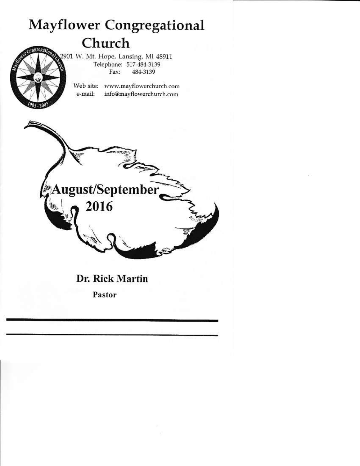# **Mayflower Congregational** Church

901 W. Mt. Hope, Lansing, MI 48911 Telephone: 517-484-3139 Fax: 484-3139

Web site: www.mayflowerchurch.com e-mail: info@mayflowerchurch.com



Pastor

August/September

2016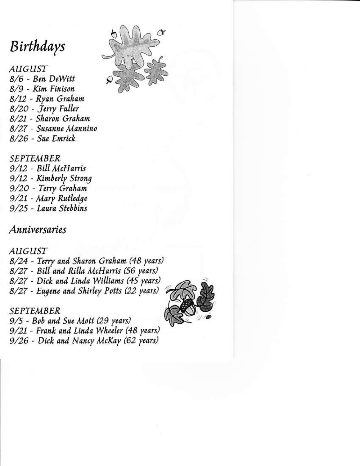# Birthdays

**AUGUST** 8/6 - Ben DeWitt 8/9 - Kim Finison 8/12 - Ryan Graham 8/20 - Jerry Fuller 8/21 - Sharon Graham 8/27 - Susanne Mannino 8/26 - Sue Emrick



**SEPTEMBER** 9/12 - Bill McHarris 9/12 - Kimberly Strong 9/20 - Terry Graham 9/21 - Mary Rutledge 9/25 - Laura Stebbins

# Anniversaries

# **AUGUST**

8/24 - Terry and Sharon Graham (48 years) 8/27 - Bill and Rilla McHarris (56 years) 8/27 - Dick and Linda Williams (45 years) 8/27 - Eugene and Shirley Potts (22 years)

# **SEPTEMBER**

9/5 - Bob and Sue Mott (29 years) 9/21 - Frank and Linda Wheeler (48 years) 9/26 - Dick and Nancy McKay (62 years)

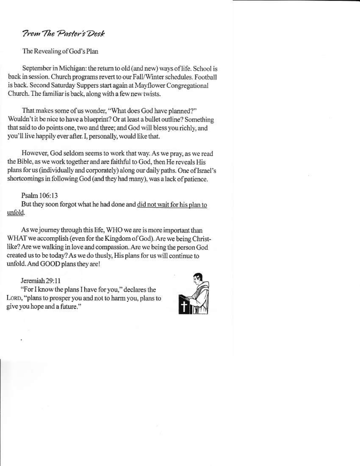# From The Pastor's Desk

The Revealing of God's Plan

September in Michigan: the return to old (and new) ways of life. School is back in session. Church programs revert to our Fall/Winter schedules. Football is back. Second Saturday Suppers start again at Mayflower Congregational Church. The familiar is back, along with a few new twists.

That makes some of us wonder, "What does God have planned?" Wouldn't it be nice to have a blueprint? Or at least a bullet outline? Something that said to do points one, two and three; and God will bless you richly, and you'll live happily ever after. I, personally, would like that.

However, God seldom seems to work that way. As we pray, as we read the Bible, as we work together and are faithful to God, then He reveals His plans for us (individually and corporately) along our daily paths. One of Israel's shortcomings in following God (and they had many), was a lack of patience.

### Psalm 106:13

But they soon forgot what he had done and did not wait for his plan to unfold.

As we journey through this life, WHO we are is more important than WHAT we accomplish (even for the Kingdom of God). Are we being Christlike? Are we walking in love and compassion. Are we being the person God created us to be today? As we do thusly, His plans for us will continue to unfold. And GOOD plans they are!

#### Jeremiah 29:11

"For I know the plans I have for you," declares the LORD, "plans to prosper you and not to harm you, plans to give you hope and a future."

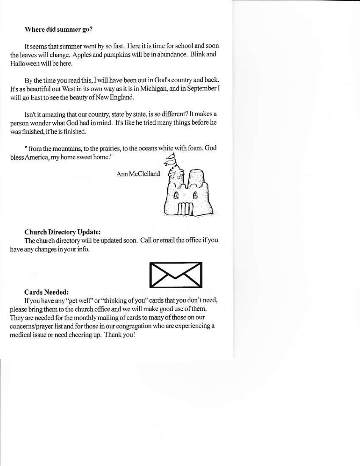# Where did summer go?

It seems that summer went by so fast. Here it is time for school and soon the leaves will change. Apples and pumpkins will be in abundance. Blink and Halloween will be here.

By the time you read this, I will have been out in God's country and back. It's as beautiful out West in its own way as it is in Michigan, and in September I will go East to see the beauty of New England.

Isn't it amazing that our country, state by state, is so different? It makes a person wonder what God had in mind. It's like he tried many things before he was finished, if he is finished.

" from the mountains, to the prairies, to the oceans white with foam, God bless America, my home sweet home."

Ann McClelland

## **Church Directory Update:**

The church directory will be updated soon. Call or email the office if you have any changes in your info.



## **Cards Needed:**

If you have any "get well" or "thinking of you" cards that you don't need, please bring them to the church office and we will make good use of them. They are needed for the monthly mailing of cards to many of those on our concerns/prayer list and for those in our congregation who are experiencing a medical issue or need cheering up. Thank you!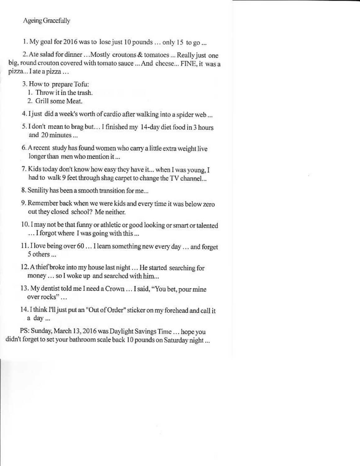Ageing Gracefully

1. My goal for 2016 was to lose just 10 pounds ... only 15 to go ...

2. Ate salad for dinner ... Mostly croutons & tomatoes ... Really just one big, round crouton covered with tomato sauce ... And cheese... FINE, it was a pizza... I ate a pizza ...

- 3. How to prepare Tofu:
	- 1. Throw it in the trash.
	- 2. Grill some Meat.
- 4. I just did a week's worth of cardio after walking into a spider web...
- 5. I don't mean to brag but... I finished my 14-day diet food in 3 hours and 20 minutes
- 6. A recent study has found women who carry a little extra weight live longer than men who mention it...
- 7. Kids today don't know how easy they have it... when I was young. I had to walk 9 feet through shag carpet to change the TV channel...
- 8. Senility has been a smooth transition for me...
- 9. Remember back when we were kids and every time it was below zero out they closed school? Me neither.
- 10. I may not be that funny or athletic or good looking or smart or talented ... I forgot where I was going with this ...
- 11. I love being over 60 ... I learn something new every day ... and forget 5 others ...
- 12. A thief broke into my house last night ... He started searching for money ... so I woke up and searched with him...
- 13. My dentist told me I need a Crown ... I said, "You bet, pour mine" over rocks"...
- 14. I think I'll just put an "Out of Order" sticker on my forehead and call it a day ...

PS: Sunday, March 13, 2016 was Daylight Savings Time ... hope you didn't forget to set your bathroom scale back 10 pounds on Saturday night ...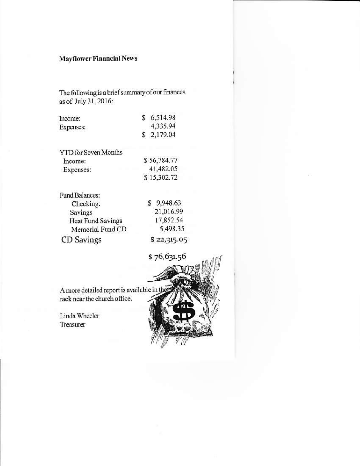## **Mayflower Financial News**

The following is a brief summary of our finances as of July 31, 2016:

| \$6,514.98  |
|-------------|
| 4,335.94    |
| \$ 2,179.04 |
|             |

**YTD** for Seven Months \$56,784.77 Income: 41,482.05 Expenses: \$15,302.72

| Fund Balances:           |               |
|--------------------------|---------------|
| Checking:                | 9,948.63<br>S |
| Savings                  | 21,016.99     |
| <b>Heat Fund Savings</b> | 17,852.54     |
| Memorial Fund CD         | 5,498.35      |
| CD Savings               | \$22,315.05   |
|                          |               |

\$76,631.56

A more detailed report is available in the H rack near the church office.

Linda Wheeler Treasurer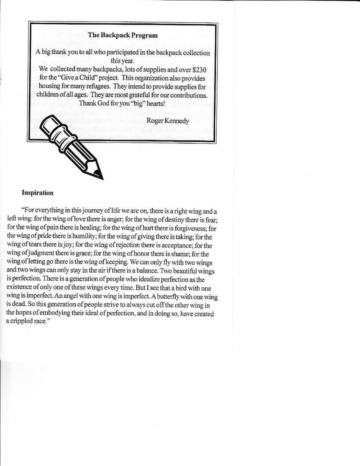

### **Inspiration**

"For everything in this journey of life we are on, there is a right wing and a left wing: for the wing of love there is anger; for the wing of destiny there is fear: for the wing of pain there is healing; for the wing of hurt there is forgiveness; for the wing of pride there is humility; for the wing of giving there is taking; for the wing of tears there is joy; for the wing of rejection there is acceptance; for the wing of judgment there is grace; for the wing of honor there is shame; for the wing of letting go there is the wing of keeping. We can only fly with two wings and two wings can only stay in the air if there is a balance. Two beautiful wings is perfection. There is a generation of people who idealize perfection as the existence of only one of these wings every time. But I see that a bird with one wing is imperfect. An angel with one wing is imperfect. A butterfly with one wing is dead. So this generation of people strive to always cut off the other wing in the hopes of embodying their ideal of perfection, and in doing so, have created a crippled race."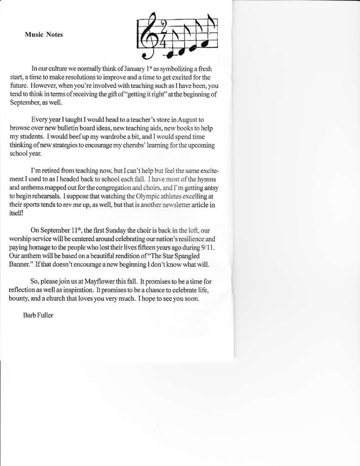#### **Music Notes**



In our culture we normally think of January 1st as symbolizing a fresh start, a time to make resolutions to improve and a time to get excited for the future. However, when you're involved with teaching such as I have been, you tend to think in terms of receiving the gift of "getting it right" at the beginning of September, as well.

Every year I taught I would head to a teacher's store in August to browse over new bulletin board ideas, new teaching aids, new books to help my students. I would beef up my wardrobe a bit, and I would spend time thinking of new strategies to encourage my cherubs' learning for the upcoming school year.

I'm retired from teaching now, but I can't help but feel the same excitement I used to as I headed back to school each fall. I have most of the hymns and anthems mapped out for the congregation and choirs, and I'm getting antsy to begin rehearsals. I suppose that watching the Olympic athletes excelling at their sports tends to rev me up, as well, but that is another newsletter article in itself!

On September 11<sup>th</sup>, the first Sunday the choir is back in the loft, our worship service will be centered around celebrating our nation's resilience and paying homage to the people who lost their lives fifteen years ago during 9/11. Our anthem will be based on a beautiful rendition of "The Star Spangled Banner." If that doesn't encourage a new beginning I don't know what will.

So, please join us at Mayflower this fall. It promises to be a time for reflection as well as inspiration. It promises to be a chance to celebrate life, bounty, and a church that loves you very much. I hope to see you soon.

**Barb Fuller**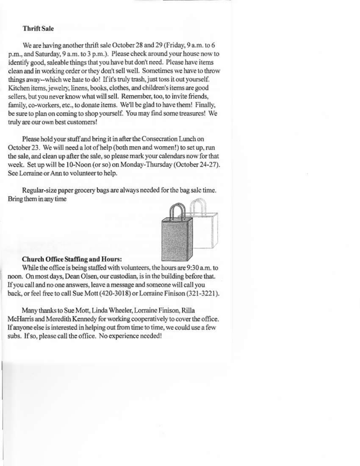## **Thrift Sale**

We are having another thrift sale October 28 and 29 (Friday, 9 a.m. to 6 p.m., and Saturday, 9 a.m. to 3 p.m.). Please check around your house now to identify good, saleable things that you have but don't need. Please have items clean and in working order or they don't sell well. Sometimes we have to throw things away-which we hate to do! If it's truly trash, just toss it out yourself. Kitchen items, jewelry, linens, books, clothes, and children's items are good sellers, but you never know what will sell. Remember, too, to invite friends, family, co-workers, etc., to donate items. We'll be glad to have them! Finally, be sure to plan on coming to shop yourself. You may find some treasures! We truly are our own best customers!

Please hold your stuff and bring it in after the Consecration Lunch on October 23. We will need a lot of help (both men and women!) to set up. run the sale, and clean up after the sale, so please mark your calendars now for that week. Set up will be 10-Noon (or so) on Monday-Thursday (October 24-27). See Lorraine or Ann to volunteer to help.

Regular-size paper grocery bags are always needed for the bag sale time. Bring them in any time



### **Church Office Staffing and Hours:**

While the office is being staffed with volunteers, the hours are 9:30 a.m. to noon. On most days, Dean Olsen, our custodian, is in the building before that. If you call and no one answers, leave a message and someone will call you back, or feel free to call Sue Mott (420-3018) or Lorraine Finison (321-3221).

Many thanks to Sue Mott, Linda Wheeler, Lorraine Finison, Rilla McHarris and Meredith Kennedy for working cooperatively to cover the office. If anyone else is interested in helping out from time to time, we could use a few subs. If so, please call the office. No experience needed!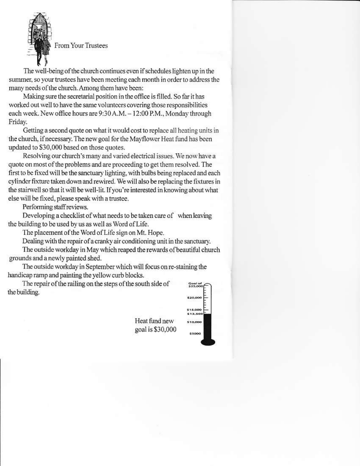

From Your Trustees

The well-being of the church continues even if schedules lighten up in the summer, so your trustees have been meeting each month in order to address the many needs of the church. Among them have been:

Making sure the secretarial position in the office is filled. So far it has worked out well to have the same volunteers covering those responsibilities each week. New office hours are 9:30 A.M. - 12:00 P.M., Monday through Friday.

Getting a second quote on what it would cost to replace all heating units in the church, if necessary. The new goal for the Mayflower Heat fund has been updated to \$30,000 based on those quotes.

Resolving our church's many and varied electrical issues. We now have a quote on most of the problems and are proceeding to get them resolved. The first to be fixed will be the sanctuary lighting, with bulbs being replaced and each cylinder fixture taken down and rewired. We will also be replacing the fixtures in the stairwell so that it will be well-lit. If you're interested in knowing about what else will be fixed, please speak with a trustee.

Performing staff reviews.

Developing a checklist of what needs to be taken care of when leaving the building to be used by us as well as Word of Life.

The placement of the Word of Life sign on Mt. Hope.

Dealing with the repair of a cranky air conditioning unit in the sanctuary.

The outside workday in May which reaped the rewards of beautiful church grounds and a newly painted shed.

The outside workday in September which will focus on re-staining the handicap ramp and painting the yellow curb blocks.

The repair of the railing on the steps of the south side of the building.